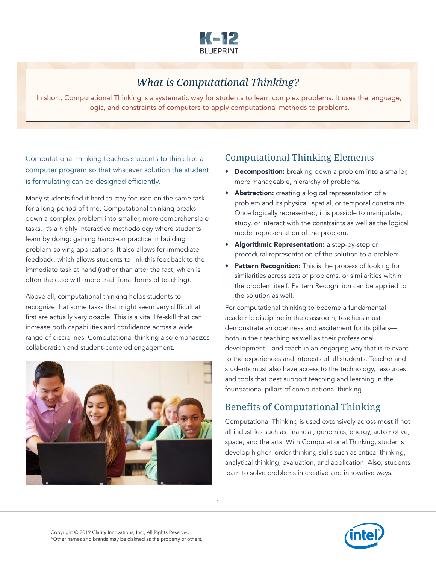

## *What is Computational Thinking?*

In short, Computational Thinking is a systematic way for students to learn complex problems. It uses the language, logic, and constraints of computers to apply computational methods to problems.

Computational thinking teaches students to think like a computer program so that whatever solution the student is formulating can be designed efficiently.

Many students find it hard to stay focused on the same task for a long period of time. Computational thinking breaks down a complex problem into smaller, more comprehensible tasks. It's a highly interactive methodology where students learn by doing: gaining hands-on practice in building problem-solving applications. It also allows for immediate feedback, which allows students to link this feedback to the immediate task at hand (rather than after the fact, which is often the case with more traditional forms of teaching).

Above all, computational thinking helps students to recognize that some tasks that might seem very difficult at first are actually very doable. This is a vital life-skill that can increase both capabilities and confidence across a wide range of disciplines. Computational thinking also emphasizes collaboration and student-centered engagement.



## Computational Thinking Elements

- **Decomposition:** breaking down a problem into a smaller, more manageable, hierarchy of problems.
- **Abstraction:** creating a logical representation of a problem and its physical, spatial, or temporal constraints. Once logically represented, it is possible to manipulate, study, or interact with the constraints as well as the logical model representation of the problem.
- Algorithmic Representation: a step-by-step or procedural representation of the solution to a problem.
- Pattern Recognition: This is the process of looking for similarities across sets of problems, or similarities within the problem itself. Pattern Recognition can be applied to the solution as well.

For computational thinking to become a fundamental academic discipline in the classroom, teachers must demonstrate an openness and excitement for its pillars both in their teaching as well as their professional development—and teach in an engaging way that is relevant to the experiences and interests of all students. Teacher and students must also have access to the technology, resources and tools that best support teaching and learning in the foundational pillars of computational thinking.

## Benefits of Computational Thinking

Computational Thinking is used extensively across most if not all industries such as financial, genomics, energy, automotive, space, and the arts. With Computational Thinking, students develop higher- order thinking skills such as critical thinking, analytical thinking, evaluation, and application. Also, students learn to solve problems in creative and innovative ways.

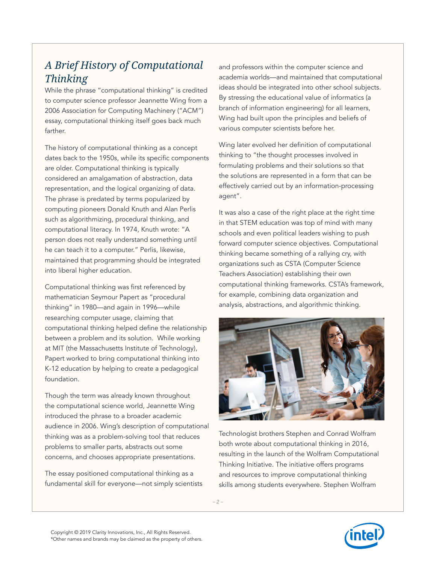## *A Brief History of Computational Thinking*

While the phrase "computational thinking" is credited to computer science professor Jeannette Wing from a 2006 Association for Computing Machinery ("ACM") essay, computational thinking itself goes back much farther.

The history of computational thinking as a concept dates back to the 1950s, while its specific components are older. Computational thinking is typically considered an amalgamation of abstraction, data representation, and the logical organizing of data. The phrase is predated by terms popularized by computing pioneers Donald Knuth and Alan Perlis such as algorithmizing, procedural thinking, and computational literacy. In 1974, Knuth wrote: "A person does not really understand something until he can teach it to a computer." Perlis, likewise, maintained that programming should be integrated into liberal higher education.

Computational thinking was first referenced by mathematician Seymour Papert as "procedural thinking" in 1980—and again in 1996—while researching computer usage, claiming that computational thinking helped define the relationship between a problem and its solution. While working at MIT (the Massachusetts Institute of Technology), Papert worked to bring computational thinking into K-12 education by helping to create a pedagogical foundation.

Though the term was already known throughout the computational science world, Jeannette Wing introduced the phrase to a broader academic audience in 2006. Wing's description of computational thinking was as a problem-solving tool that reduces problems to smaller parts, abstracts out some concerns, and chooses appropriate presentations.

The essay positioned computational thinking as a fundamental skill for everyone—not simply scientists

and professors within the computer science and academia worlds—and maintained that computational ideas should be integrated into other school subjects. By stressing the educational value of informatics (a branch of information engineering) for all learners, Wing had built upon the principles and beliefs of various computer scientists before her.

Wing later evolved her definition of computational thinking to "the thought processes involved in formulating problems and their solutions so that the solutions are represented in a form that can be effectively carried out by an information-processing agent".

It was also a case of the right place at the right time in that STEM education was top of mind with many schools and even political leaders wishing to push forward computer science objectives. Computational thinking became something of a rallying cry, with organizations such as CSTA (Computer Science Teachers Association) establishing their own computational thinking frameworks. CSTA's framework, for example, combining data organization and analysis, abstractions, and algorithmic thinking.



Technologist brothers Stephen and Conrad Wolfram both wrote about computational thinking in 2016, resulting in the launch of the Wolfram Computational Thinking Initiative. The initiative offers programs and resources to improve computational thinking skills among students everywhere. Stephen Wolfram